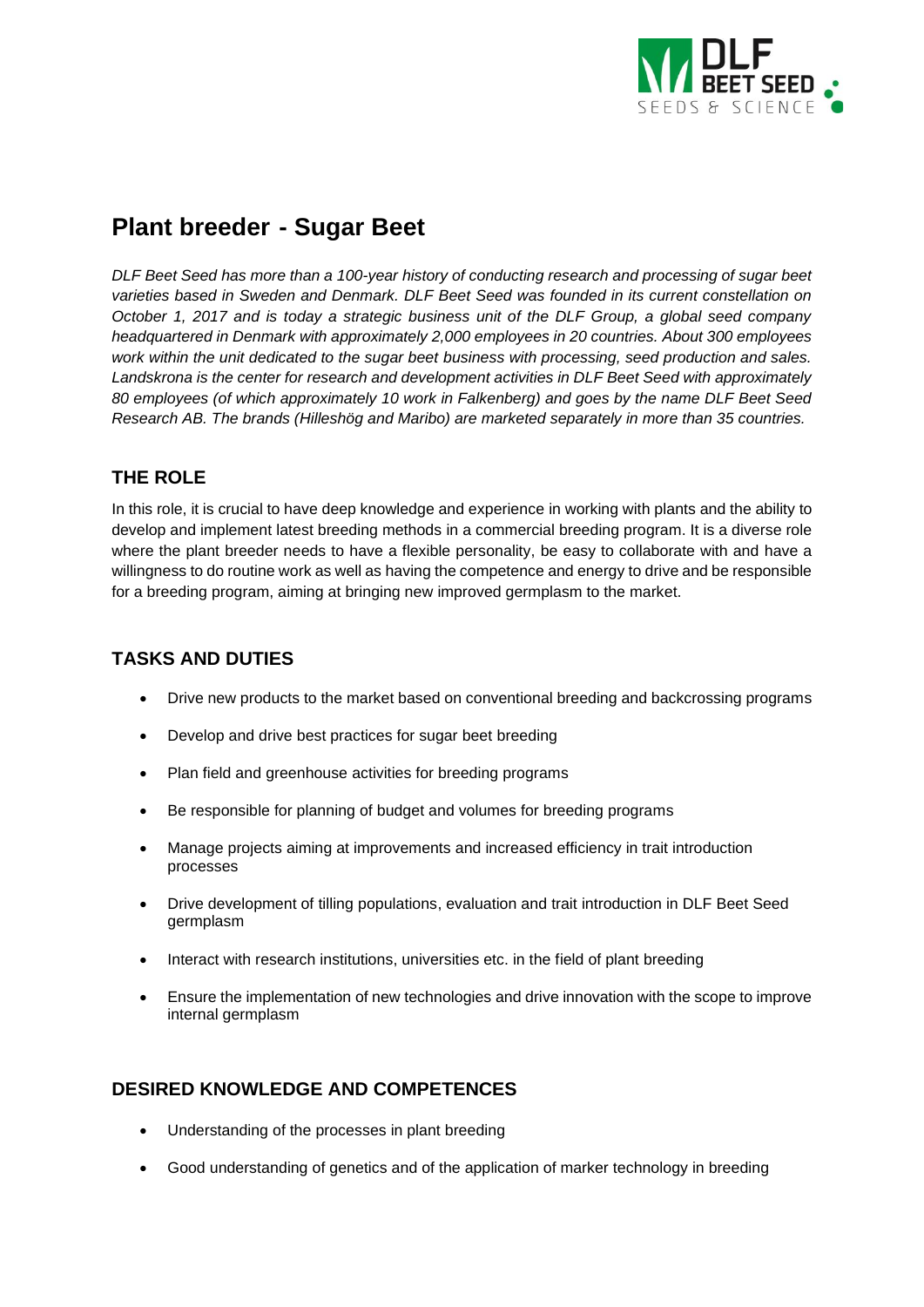

# **Plant breeder - Sugar Beet**

*DLF Beet Seed has more than a 100-year history of conducting research and processing of sugar beet varieties based in Sweden and Denmark. DLF Beet Seed was founded in its current constellation on October 1, 2017 and is today a strategic business unit of the DLF Group, a global seed company headquartered in Denmark with approximately 2,000 employees in 20 countries. About 300 employees work within the unit dedicated to the sugar beet business with processing, seed production and sales. Landskrona is the center for research and development activities in DLF Beet Seed with approximately 80 employees (of which approximately 10 work in Falkenberg) and goes by the name DLF Beet Seed Research AB. The brands (Hilleshög and Maribo) are marketed separately in more than 35 countries.*

# **THE ROLE**

In this role, it is crucial to have deep knowledge and experience in working with plants and the ability to develop and implement latest breeding methods in a commercial breeding program. It is a diverse role where the plant breeder needs to have a flexible personality, be easy to collaborate with and have a willingness to do routine work as well as having the competence and energy to drive and be responsible for a breeding program, aiming at bringing new improved germplasm to the market.

# **TASKS AND DUTIES**

- Drive new products to the market based on conventional breeding and backcrossing programs
- Develop and drive best practices for sugar beet breeding
- Plan field and greenhouse activities for breeding programs
- Be responsible for planning of budget and volumes for breeding programs
- Manage projects aiming at improvements and increased efficiency in trait introduction processes
- Drive development of tilling populations, evaluation and trait introduction in DLF Beet Seed germplasm
- Interact with research institutions, universities etc. in the field of plant breeding
- Ensure the implementation of new technologies and drive innovation with the scope to improve internal germplasm

# **DESIRED KNOWLEDGE AND COMPETENCES**

- Understanding of the processes in plant breeding
- Good understanding of genetics and of the application of marker technology in breeding